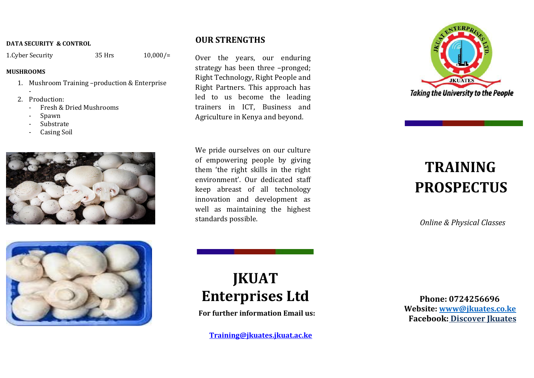#### **DATA SECURITY & CONTROL**

1.Cyber Security 35 Hrs 10,000/=

### **MUSHROOMS**

- 1. Mushroom Training –production & Enterprise
- 2. Production:
	- Fresh & Dried Mushrooms
	- Spawn
	- **Substrate**
	- Casing Soil





## **OUR STRENGTHS**

Over the years, our enduring strategy has been three –pronged; Right Technology, Right People and Right Partners. This approach has led to us become the leading trainers in ICT, Business and Agriculture in Kenya and beyond.

We pride ourselves on our culture of empowering people by giving them 'the right skills in the right environment'. Our dedicated staff keep abreast of all technology innovation and development as well as maintaining the highest standards possible.



# **TRAINING PROSPECTUS**

*Online & Physical Classes*

# **JKUAT Enterprises Ltd**

**For further information Email us:**

**[Training@jkuates.jkuat.ac.ke](mailto:training@jkuates.jkuat.ac.ke)**

 **Phone: 0724256696 Website: [www@jkuates.co.ke](mailto:www@jkuates.co.ke) Facebook: Discover Jkuates**